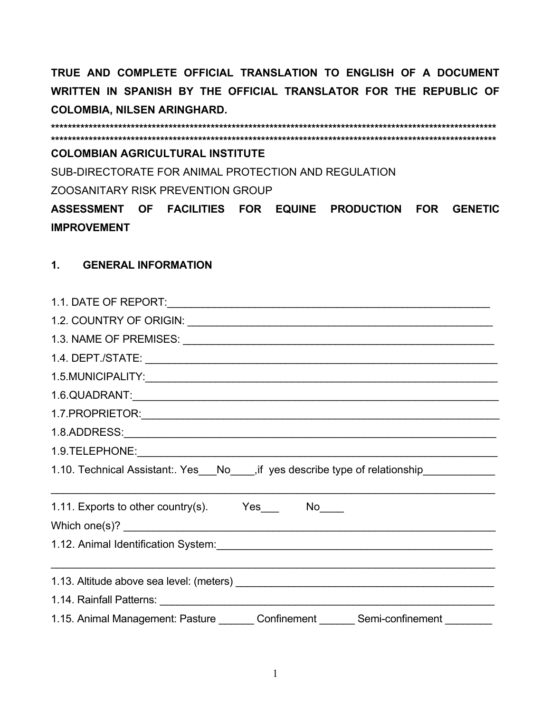### **COLOMBIAN AGRICULTURAL INSTITUTE**

SUB-DIRECTORATE FOR ANIMAL PROTECTION AND REGULATION ZOOSANITARY RISK PREVENTION GROUP

ASSESSMENT OF FACILITIES FOR EQUINE PRODUCTION FOR GENETIC **IMPROVEMENT** 

#### $1.$ **GENERAL INFORMATION**

| 1.10. Technical Assistant:. Yes___No____, if yes describe type of relationship_____________                                                                                                                                    |  |  |  |  |  |
|--------------------------------------------------------------------------------------------------------------------------------------------------------------------------------------------------------------------------------|--|--|--|--|--|
|                                                                                                                                                                                                                                |  |  |  |  |  |
| Which one(s)?                                                                                                                                                                                                                  |  |  |  |  |  |
| 1.12. Animal Identification System:<br>1.12. Animal Identification System:<br>2008.                                                                                                                                            |  |  |  |  |  |
|                                                                                                                                                                                                                                |  |  |  |  |  |
| 1.14. Rainfall Patterns: 2008. Entry and the Capital State of the Capital State of the Capital State of the Capital State of the Capital State of the Capital State of the Capital State of the Capital State of the Capital S |  |  |  |  |  |
| 1.15. Animal Management: Pasture _______ Confinement _______ Semi-confinement ________                                                                                                                                         |  |  |  |  |  |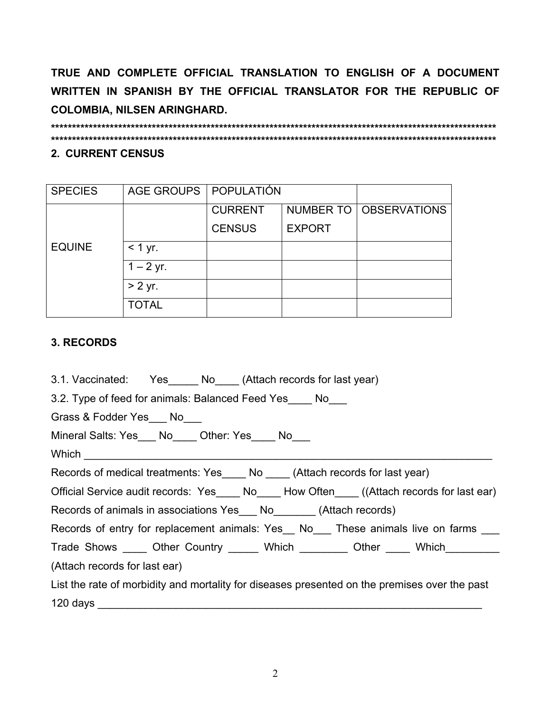### 2. CURRENT CENSUS

| <b>SPECIES</b> | AGE GROUPS   POPULATIÓN |                |               |                          |
|----------------|-------------------------|----------------|---------------|--------------------------|
|                |                         | <b>CURRENT</b> |               | NUMBER TO   OBSERVATIONS |
|                |                         | <b>CENSUS</b>  | <b>EXPORT</b> |                          |
| <b>EQUINE</b>  | $<$ 1 yr.               |                |               |                          |
|                | $1 - 2$ yr.             |                |               |                          |
|                | $> 2$ yr.               |                |               |                          |
|                | <b>TOTAL</b>            |                |               |                          |

## 3. RECORDS

3.1. Vaccinated: Yes No (Attach records for last year)

3.2. Type of feed for animals: Balanced Feed Yes No

Grass & Fodder Yes No

Mineral Salts: Yes
No
L Other: Yes
No
L

Which

Records of medical treatments: Yes No (Attach records for last year)

Official Service audit records: Yes No How Often ((Attach records for last ear)

Records of animals in associations Yes No (Attach records)

Records of entry for replacement animals: Yes \_\_ No \_\_ These animals live on farms \_\_\_

Trade Shows \_\_\_\_\_\_ Other Country \_\_\_\_\_\_\_ Which \_\_\_\_\_\_\_\_\_ Other \_\_\_\_\_ Which \_\_\_\_\_\_\_\_\_

(Attach records for last ear)

List the rate of morbidity and mortality for diseases presented on the premises over the past 120 days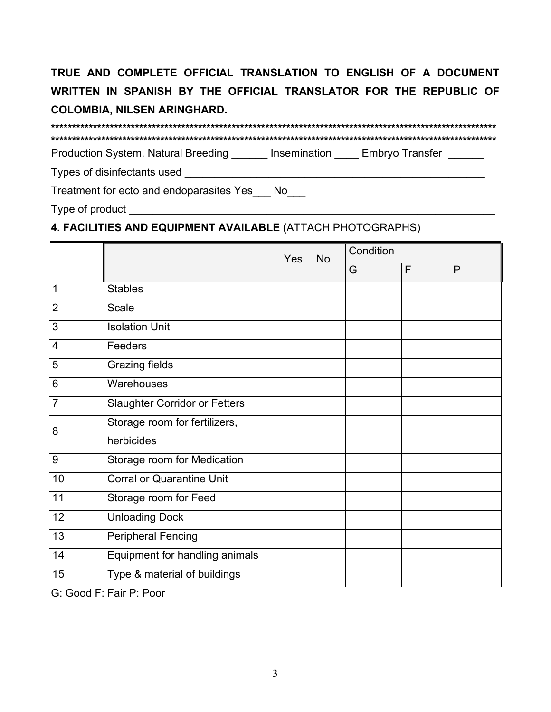Production System. Natural Breeding \_\_\_\_\_\_ Insemination \_\_\_\_ Embryo Transfer \_\_\_\_\_

Treatment for ecto and endoparasites Yes No

# 4. FACILITIES AND EQUIPMENT AVAILABLE (ATTACH PHOTOGRAPHS)

|                |                                                                                                                                     | <b>Yes</b> | <b>No</b> | Condition |   |   |
|----------------|-------------------------------------------------------------------------------------------------------------------------------------|------------|-----------|-----------|---|---|
|                |                                                                                                                                     |            |           | G         | F | P |
| 1              | <b>Stables</b>                                                                                                                      |            |           |           |   |   |
| $\overline{2}$ | Scale                                                                                                                               |            |           |           |   |   |
| 3              | <b>Isolation Unit</b>                                                                                                               |            |           |           |   |   |
| 4              | Feeders                                                                                                                             |            |           |           |   |   |
| 5              | Grazing fields                                                                                                                      |            |           |           |   |   |
| 6              | Warehouses                                                                                                                          |            |           |           |   |   |
| $\overline{7}$ | <b>Slaughter Corridor or Fetters</b>                                                                                                |            |           |           |   |   |
| 8              | Storage room for fertilizers,                                                                                                       |            |           |           |   |   |
|                | herbicides                                                                                                                          |            |           |           |   |   |
| 9              | Storage room for Medication                                                                                                         |            |           |           |   |   |
| 10             | <b>Corral or Quarantine Unit</b>                                                                                                    |            |           |           |   |   |
| 11             | Storage room for Feed                                                                                                               |            |           |           |   |   |
| 12             | <b>Unloading Dock</b>                                                                                                               |            |           |           |   |   |
| 13             | <b>Peripheral Fencing</b>                                                                                                           |            |           |           |   |   |
| 14             | Equipment for handling animals                                                                                                      |            |           |           |   |   |
| 15             | Type & material of buildings<br>$\bigcap_{n=1}^{\infty}$ $\bigcap_{n=1}^{\infty}$ $\bigcap_{n=1}^{\infty}$ $\bigcap_{n=1}^{\infty}$ |            |           |           |   |   |

G: Good F: Fair P: Poor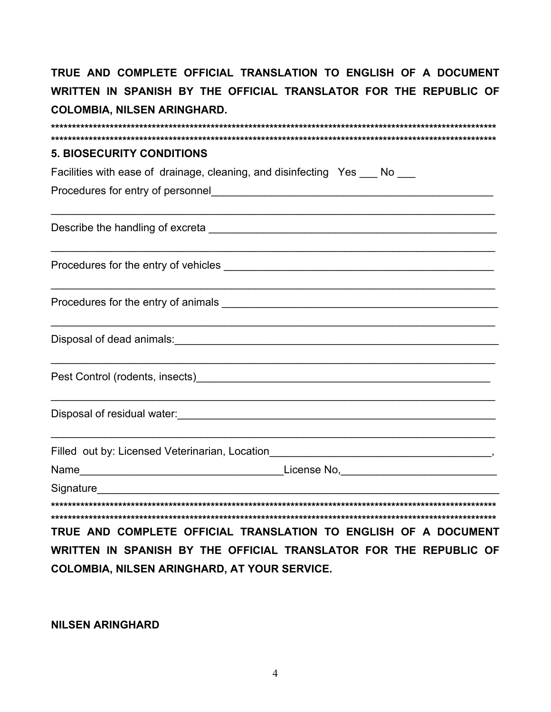| <b>5. BIOSECURITY CONDITIONS</b>                                                                                                                                                                                              |  |  |  |  |  |  |  |
|-------------------------------------------------------------------------------------------------------------------------------------------------------------------------------------------------------------------------------|--|--|--|--|--|--|--|
| Facilities with ease of drainage, cleaning, and disinfecting Yes ___ No ___                                                                                                                                                   |  |  |  |  |  |  |  |
|                                                                                                                                                                                                                               |  |  |  |  |  |  |  |
|                                                                                                                                                                                                                               |  |  |  |  |  |  |  |
|                                                                                                                                                                                                                               |  |  |  |  |  |  |  |
|                                                                                                                                                                                                                               |  |  |  |  |  |  |  |
|                                                                                                                                                                                                                               |  |  |  |  |  |  |  |
|                                                                                                                                                                                                                               |  |  |  |  |  |  |  |
|                                                                                                                                                                                                                               |  |  |  |  |  |  |  |
|                                                                                                                                                                                                                               |  |  |  |  |  |  |  |
|                                                                                                                                                                                                                               |  |  |  |  |  |  |  |
|                                                                                                                                                                                                                               |  |  |  |  |  |  |  |
|                                                                                                                                                                                                                               |  |  |  |  |  |  |  |
| Signature and the state of the state of the state of the state of the state of the state of the state of the state of the state of the state of the state of the state of the state of the state of the state of the state of |  |  |  |  |  |  |  |
|                                                                                                                                                                                                                               |  |  |  |  |  |  |  |
| TRUE AND COMPLETE OFFICIAL TRANSLATION TO ENGLISH OF A DOCUMENT                                                                                                                                                               |  |  |  |  |  |  |  |
| WRITTEN IN SPANISH BY THE OFFICIAL TRANSLATOR FOR THE REPUBLIC OF                                                                                                                                                             |  |  |  |  |  |  |  |
|                                                                                                                                                                                                                               |  |  |  |  |  |  |  |

**NILSEN ARINGHARD** 

**COLOMBIA, NILSEN ARINGHARD, AT YOUR SERVICE.**